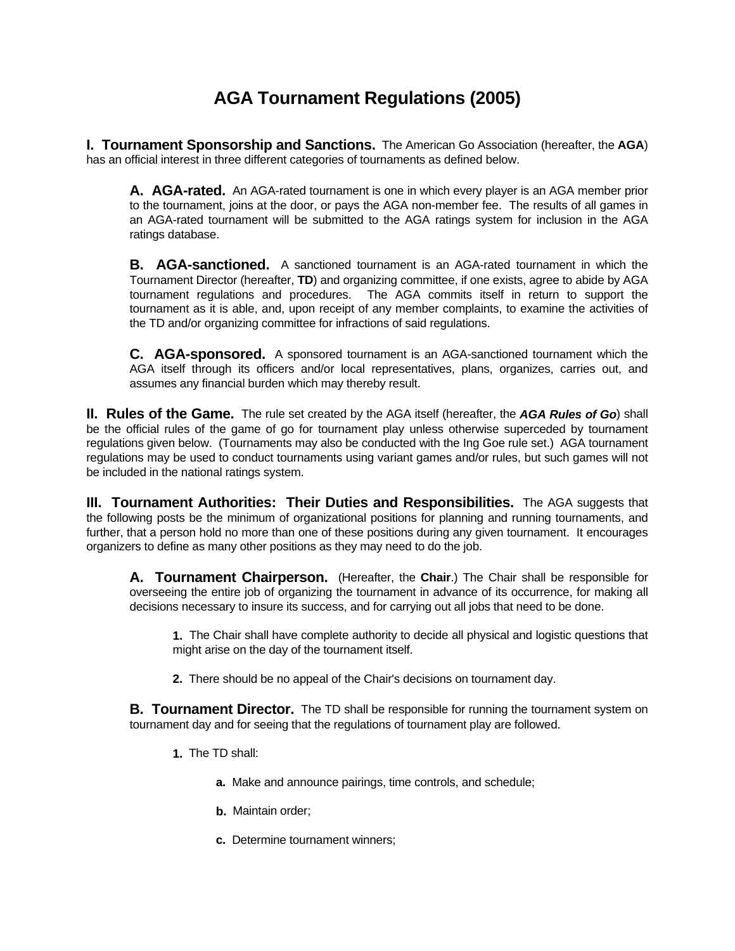# **AGA Tournament Regulations (2005)**

**I. Tournament Sponsorship and Sanctions.** The American Go Association (hereafter, the **AGA**) has an official interest in three different categories of tournaments as defined below.

**A. AGA-rated.** An AGA-rated tournament is one in which every player is an AGA member prior to the tournament, joins at the door, or pays the AGA non-member fee. The results of all games in an AGA-rated tournament will be submitted to the AGA ratings system for inclusion in the AGA ratings database.

**B. AGA-sanctioned.** A sanctioned tournament is an AGA-rated tournament in which the Tournament Director (hereafter, **TD**) and organizing committee, if one exists, agree to abide by AGA tournament regulations and procedures. The AGA commits itself in return to support the tournament as it is able, and, upon receipt of any member complaints, to examine the activities of the TD and/or organizing committee for infractions of said regulations.

**C. AGA-sponsored.** A sponsored tournament is an AGA-sanctioned tournament which the AGA itself through its officers and/or local representatives, plans, organizes, carries out, and assumes any financial burden which may thereby result.

**II. Rules of the Game.** The rule set created by the AGA itself (hereafter, the *AGA Rules of Go*) shall be the official rules of the game of go for tournament play unless otherwise superceded by tournament regulations given below. (Tournaments may also be conducted with the Ing Goe rule set.) AGA tournament regulations may be used to conduct tournaments using variant games and/or rules, but such games will not be included in the national ratings system.

**III. Tournament Authorities: Their Duties and Responsibilities.** The AGA suggests that the following posts be the minimum of organizational positions for planning and running tournaments, and further, that a person hold no more than one of these positions during any given tournament. It encourages organizers to define as many other positions as they may need to do the job.

**A. Tournament Chairperson.** (Hereafter, the **Chair**.) The Chair shall be responsible for overseeing the entire job of organizing the tournament in advance of its occurrence, for making all decisions necessary to insure its success, and for carrying out all jobs that need to be done.

**1.** The Chair shall have complete authority to decide all physical and logistic questions that might arise on the day of the tournament itself.

**2.** There should be no appeal of the Chair's decisions on tournament day.

**B. Tournament Director.** The TD shall be responsible for running the tournament system on tournament day and for seeing that the regulations of tournament play are followed.

- **1.** The TD shall:
	- **a.** Make and announce pairings, time controls, and schedule;
	- **b.** Maintain order;
	- **c.** Determine tournament winners;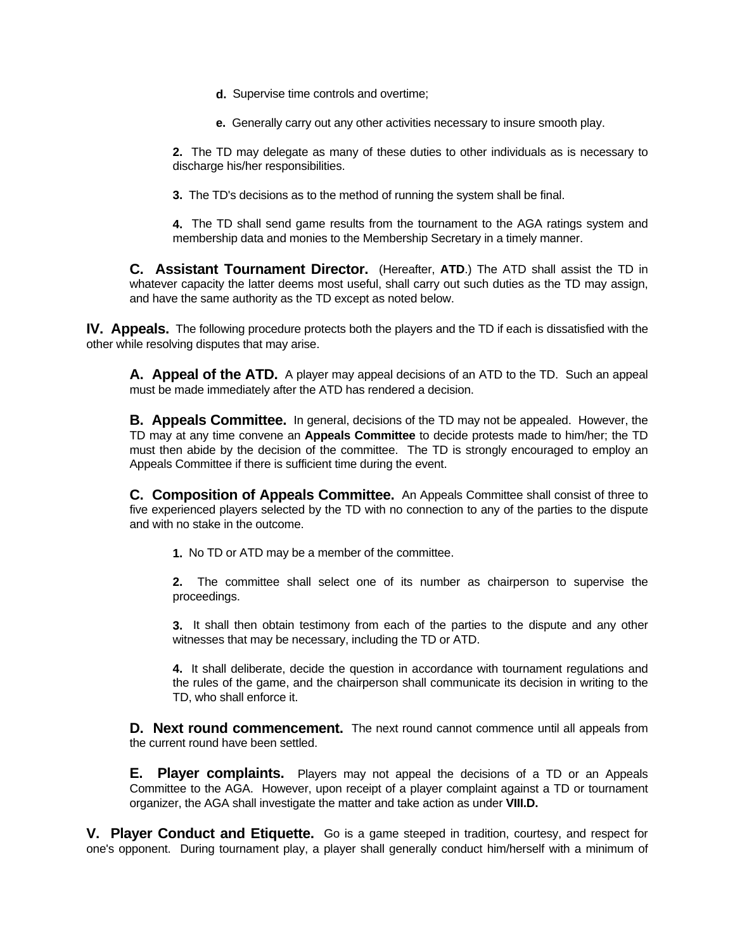- **d.** Supervise time controls and overtime;
- **e.** Generally carry out any other activities necessary to insure smooth play.

**2.** The TD may delegate as many of these duties to other individuals as is necessary to discharge his/her responsibilities.

**3.** The TD's decisions as to the method of running the system shall be final.

**4.** The TD shall send game results from the tournament to the AGA ratings system and membership data and monies to the Membership Secretary in a timely manner.

**C. Assistant Tournament Director.** (Hereafter, **ATD**.) The ATD shall assist the TD in whatever capacity the latter deems most useful, shall carry out such duties as the TD may assign, and have the same authority as the TD except as noted below.

**IV. Appeals.** The following procedure protects both the players and the TD if each is dissatisfied with the other while resolving disputes that may arise.

**A. Appeal of the ATD.** A player may appeal decisions of an ATD to the TD. Such an appeal must be made immediately after the ATD has rendered a decision.

**B. Appeals Committee.** In general, decisions of the TD may not be appealed. However, the TD may at any time convene an **Appeals Committee** to decide protests made to him/her; the TD must then abide by the decision of the committee. The TD is strongly encouraged to employ an Appeals Committee if there is sufficient time during the event.

**C. Composition of Appeals Committee.** An Appeals Committee shall consist of three to five experienced players selected by the TD with no connection to any of the parties to the dispute and with no stake in the outcome.

**1.** No TD or ATD may be a member of the committee.

**2.** The committee shall select one of its number as chairperson to supervise the proceedings.

**3.** It shall then obtain testimony from each of the parties to the dispute and any other witnesses that may be necessary, including the TD or ATD.

**4.** It shall deliberate, decide the question in accordance with tournament regulations and the rules of the game, and the chairperson shall communicate its decision in writing to the TD, who shall enforce it.

**D. Next round commencement.** The next round cannot commence until all appeals from the current round have been settled.

**E. Player complaints.** Players may not appeal the decisions of a TD or an Appeals Committee to the AGA. However, upon receipt of a player complaint against a TD or tournament organizer, the AGA shall investigate the matter and take action as under **VIII.D.**

**V. Player Conduct and Etiquette.** Go is a game steeped in tradition, courtesy, and respect for one's opponent. During tournament play, a player shall generally conduct him/herself with a minimum of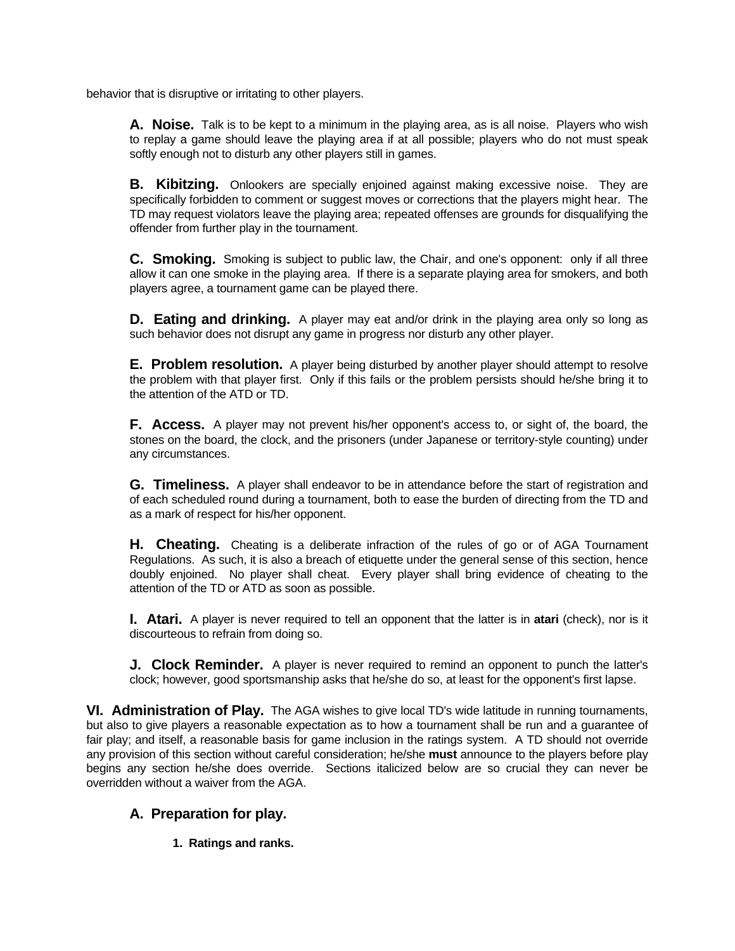behavior that is disruptive or irritating to other players.

**A. Noise.** Talk is to be kept to a minimum in the playing area, as is all noise. Players who wish to replay a game should leave the playing area if at all possible; players who do not must speak softly enough not to disturb any other players still in games.

**B.** Kibitzing. Onlookers are specially enjoined against making excessive noise. They are specifically forbidden to comment or suggest moves or corrections that the players might hear. The TD may request violators leave the playing area; repeated offenses are grounds for disqualifying the offender from further play in the tournament.

**C. Smoking.** Smoking is subject to public law, the Chair, and one's opponent: only if all three allow it can one smoke in the playing area. If there is a separate playing area for smokers, and both players agree, a tournament game can be played there.

**D. Eating and drinking.** A player may eat and/or drink in the playing area only so long as such behavior does not disrupt any game in progress nor disturb any other player.

**E. Problem resolution.** A player being disturbed by another player should attempt to resolve the problem with that player first. Only if this fails or the problem persists should he/she bring it to the attention of the ATD or TD.

**F. Access.** A player may not prevent his/her opponent's access to, or sight of, the board, the stones on the board, the clock, and the prisoners (under Japanese or territory-style counting) under any circumstances.

**G. Timeliness.** A player shall endeavor to be in attendance before the start of registration and of each scheduled round during a tournament, both to ease the burden of directing from the TD and as a mark of respect for his/her opponent.

**H.** Cheating. Cheating is a deliberate infraction of the rules of go or of AGA Tournament Regulations. As such, it is also a breach of etiquette under the general sense of this section, hence doubly enjoined. No player shall cheat. Every player shall bring evidence of cheating to the attention of the TD or ATD as soon as possible.

**I. Atari.** A player is never required to tell an opponent that the latter is in **atari** (check), nor is it discourteous to refrain from doing so.

**J. Clock Reminder.** A player is never required to remind an opponent to punch the latter's clock; however, good sportsmanship asks that he/she do so, at least for the opponent's first lapse.

**VI. Administration of Play.** The AGA wishes to give local TD's wide latitude in running tournaments, but also to give players a reasonable expectation as to how a tournament shall be run and a guarantee of fair play; and itself, a reasonable basis for game inclusion in the ratings system. A TD should not override any provision of this section without careful consideration; he/she **must** announce to the players before play begins any section he/she does override. Sections italicized below are so crucial they can never be overridden without a waiver from the AGA.

# **A. Preparation for play.**

**1. Ratings and ranks.**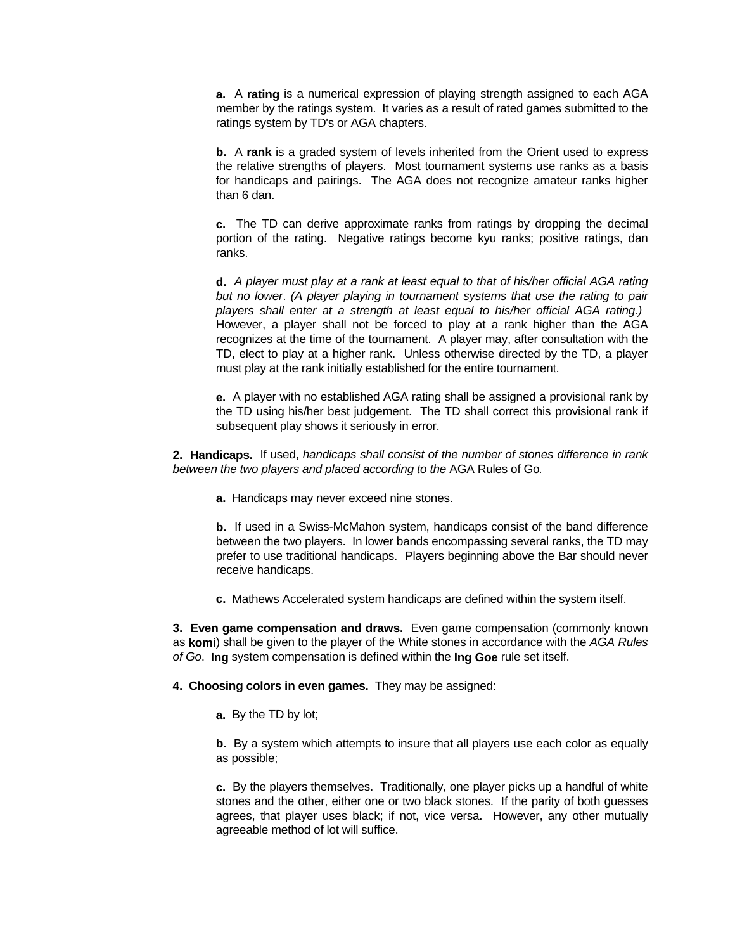**a.** A **rating** is a numerical expression of playing strength assigned to each AGA member by the ratings system. It varies as a result of rated games submitted to the ratings system by TD's or AGA chapters.

**b.** A **rank** is a graded system of levels inherited from the Orient used to express the relative strengths of players. Most tournament systems use ranks as a basis for handicaps and pairings. The AGA does not recognize amateur ranks higher than 6 dan.

**c.** The TD can derive approximate ranks from ratings by dropping the decimal portion of the rating. Negative ratings become kyu ranks; positive ratings, dan ranks.

**d.** *A player must play at a rank at least equal to that of his/her official AGA rating but no lower*. *(A player playing in tournament systems that use the rating to pair players shall enter at a strength at least equal to his/her official AGA rating.)* However, a player shall not be forced to play at a rank higher than the AGA recognizes at the time of the tournament. A player may, after consultation with the TD, elect to play at a higher rank. Unless otherwise directed by the TD, a player must play at the rank initially established for the entire tournament.

**e.** A player with no established AGA rating shall be assigned a provisional rank by the TD using his/her best judgement. The TD shall correct this provisional rank if subsequent play shows it seriously in error.

**2. Handicaps.** If used, *handicaps shall consist of the number of stones difference in rank between the two players and placed according to the* AGA Rules of Go*.*

**a.** Handicaps may never exceed nine stones.

**b.** If used in a Swiss-McMahon system, handicaps consist of the band difference between the two players. In lower bands encompassing several ranks, the TD may prefer to use traditional handicaps. Players beginning above the Bar should never receive handicaps.

**c.** Mathews Accelerated system handicaps are defined within the system itself.

**3. Even game compensation and draws.** Even game compensation (commonly known as **komi**) shall be given to the player of the White stones in accordance with the *AGA Rules of Go*. **Ing** system compensation is defined within the **Ing Goe** rule set itself.

**4. Choosing colors in even games.** They may be assigned:

**a.** By the TD by lot;

**b.** By a system which attempts to insure that all players use each color as equally as possible;

**c.** By the players themselves. Traditionally, one player picks up a handful of white stones and the other, either one or two black stones. If the parity of both guesses agrees, that player uses black; if not, vice versa. However, any other mutually agreeable method of lot will suffice.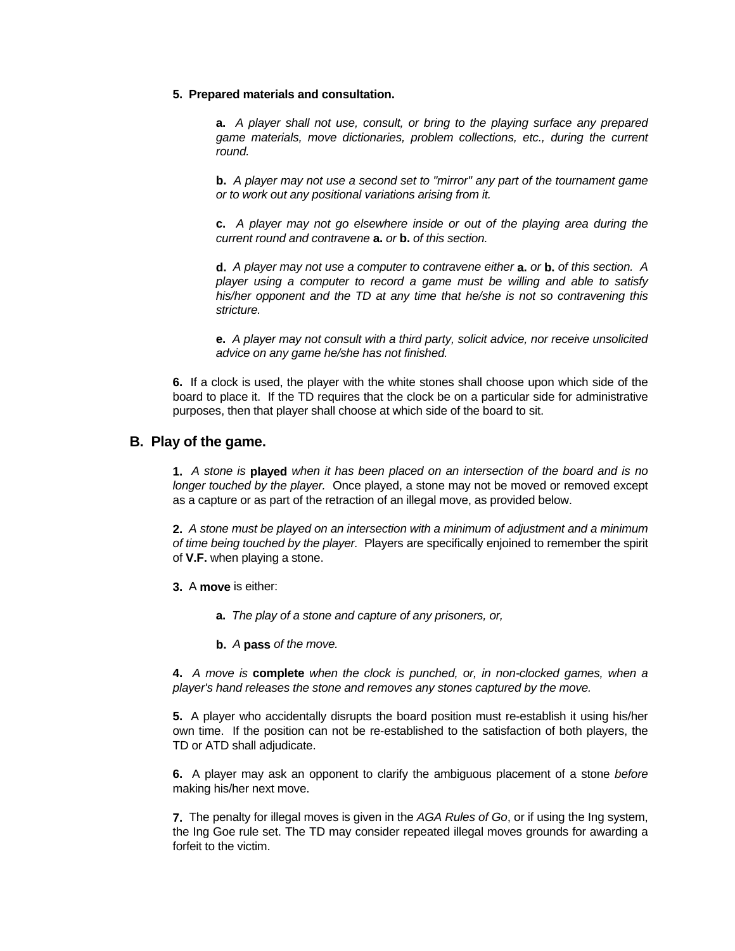#### **5. Prepared materials and consultation.**

**a.** *A player shall not use, consult, or bring to the playing surface any prepared game materials, move dictionaries, problem collections, etc., during the current round.*

**b.** *A player may not use a second set to "mirror" any part of the tournament game or to work out any positional variations arising from it.*

**c.** *A player may not go elsewhere inside or out of the playing area during the current round and contravene* **a.** *or* **b.** *of this section.*

**d.** *A player may not use a computer to contravene either* **a.** *or* **b.** *of this section. A player using a computer to record a game must be willing and able to satisfy his/her opponent and the TD at any time that he/she is not so contravening this stricture.*

**e.** *A player may not consult with a third party, solicit advice, nor receive unsolicited advice on any game he/she has not finished.*

**6.** If a clock is used, the player with the white stones shall choose upon which side of the board to place it. If the TD requires that the clock be on a particular side for administrative purposes, then that player shall choose at which side of the board to sit.

### **B. Play of the game.**

**1.** *A stone is* **played** *when it has been placed on an intersection of the board and is no longer touched by the player.* Once played, a stone may not be moved or removed except as a capture or as part of the retraction of an illegal move, as provided below.

**2.** *A stone must be played on an intersection with a minimum of adjustment and a minimum of time being touched by the player.* Players are specifically enjoined to remember the spirit of **V.F.** when playing a stone.

- **3.** A **move** is either:
	- **a.** *The play of a stone and capture of any prisoners, or,*
	- **b.** *A* **pass** *of the move.*

**4.** *A move is* **complete** *when the clock is punched, or, in non-clocked games, when a player's hand releases the stone and removes any stones captured by the move.*

**5.** A player who accidentally disrupts the board position must re-establish it using his/her own time. If the position can not be re-established to the satisfaction of both players, the TD or ATD shall adjudicate.

**6.** A player may ask an opponent to clarify the ambiguous placement of a stone *before* making his/her next move.

**7.** The penalty for illegal moves is given in the *AGA Rules of Go*, or if using the Ing system, the Ing Goe rule set. The TD may consider repeated illegal moves grounds for awarding a forfeit to the victim.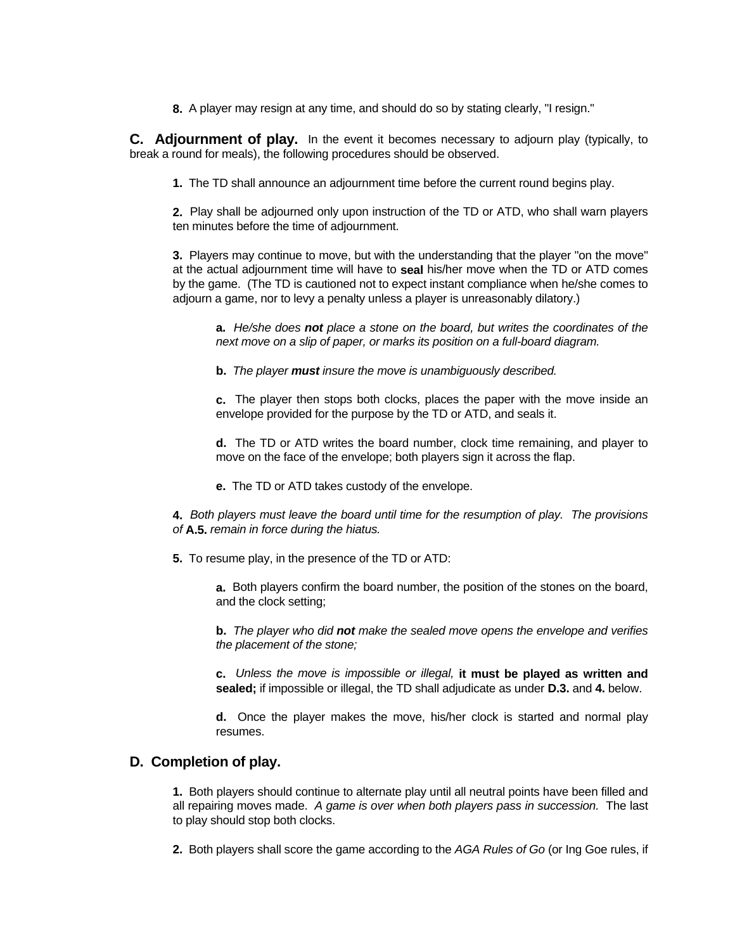**8.** A player may resign at any time, and should do so by stating clearly, "I resign."

**C. Adjournment of play.** In the event it becomes necessary to adjourn play (typically, to break a round for meals), the following procedures should be observed.

**1.** The TD shall announce an adjournment time before the current round begins play.

**2.** Play shall be adjourned only upon instruction of the TD or ATD, who shall warn players ten minutes before the time of adjournment.

**3.** Players may continue to move, but with the understanding that the player "on the move" at the actual adjournment time will have to **seal** his/her move when the TD or ATD comes by the game. (The TD is cautioned not to expect instant compliance when he/she comes to adjourn a game, nor to levy a penalty unless a player is unreasonably dilatory.)

**a.** *He/she does not place a stone on the board, but writes the coordinates of the next move on a slip of paper, or marks its position on a full-board diagram.*

**b.** *The player must insure the move is unambiguously described.*

**c.** The player then stops both clocks, places the paper with the move inside an envelope provided for the purpose by the TD or ATD, and seals it.

**d.** The TD or ATD writes the board number, clock time remaining, and player to move on the face of the envelope; both players sign it across the flap.

**e.** The TD or ATD takes custody of the envelope.

**4.** *Both players must leave the board until time for the resumption of play. The provisions of* **A.5.** *remain in force during the hiatus.*

**5.** To resume play, in the presence of the TD or ATD:

**a.** Both players confirm the board number, the position of the stones on the board, and the clock setting;

**b.** *The player who did not make the sealed move opens the envelope and verifies the placement of the stone;*

**c.** *Unless the move is impossible or illegal,* **it must be played as written and sealed;** if impossible or illegal, the TD shall adjudicate as under **D.3.** and **4.** below.

**d.** Once the player makes the move, his/her clock is started and normal play resumes.

# **D. Completion of play.**

**1.** Both players should continue to alternate play until all neutral points have been filled and all repairing moves made. *A game is over when both players pass in succession.* The last to play should stop both clocks.

**2.** Both players shall score the game according to the *AGA Rules of Go* (or Ing Goe rules, if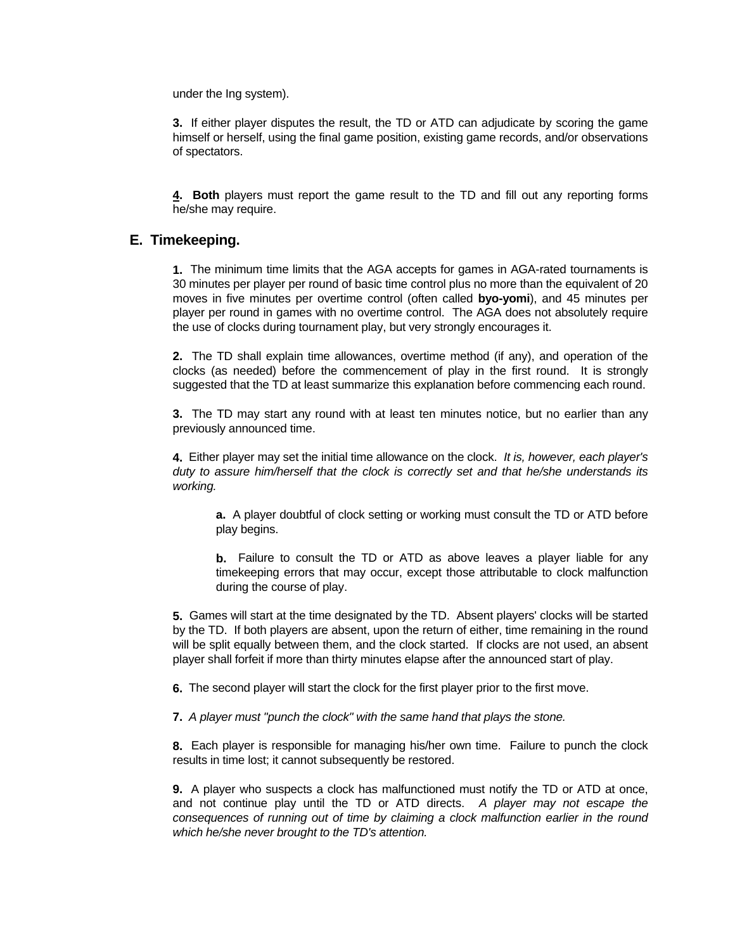under the Ing system).

**3.** If either player disputes the result, the TD or ATD can adjudicate by scoring the game himself or herself, using the final game position, existing game records, and/or observations of spectators.

**4. Both** players must report the game result to the TD and fill out any reporting forms he/she may require.

## **E. Timekeeping.**

**1.** The minimum time limits that the AGA accepts for games in AGA-rated tournaments is 30 minutes per player per round of basic time control plus no more than the equivalent of 20 moves in five minutes per overtime control (often called **byo-yomi**), and 45 minutes per player per round in games with no overtime control. The AGA does not absolutely require the use of clocks during tournament play, but very strongly encourages it.

**2.** The TD shall explain time allowances, overtime method (if any), and operation of the clocks (as needed) before the commencement of play in the first round. It is strongly suggested that the TD at least summarize this explanation before commencing each round.

**3.** The TD may start any round with at least ten minutes notice, but no earlier than any previously announced time.

**4.** Either player may set the initial time allowance on the clock. *It is, however, each player's duty to assure him/herself that the clock is correctly set and that he/she understands its working.*

**a.** A player doubtful of clock setting or working must consult the TD or ATD before play begins.

**b.** Failure to consult the TD or ATD as above leaves a player liable for any timekeeping errors that may occur, except those attributable to clock malfunction during the course of play.

**5.** Games will start at the time designated by the TD. Absent players' clocks will be started by the TD. If both players are absent, upon the return of either, time remaining in the round will be split equally between them, and the clock started. If clocks are not used, an absent player shall forfeit if more than thirty minutes elapse after the announced start of play.

**6.** The second player will start the clock for the first player prior to the first move.

**7.** *A player must "punch the clock" with the same hand that plays the stone.*

**8.** Each player is responsible for managing his/her own time. Failure to punch the clock results in time lost; it cannot subsequently be restored.

**9.** A player who suspects a clock has malfunctioned must notify the TD or ATD at once, and not continue play until the TD or ATD directs. *A player may not escape the consequences of running out of time by claiming a clock malfunction earlier in the round which he/she never brought to the TD's attention.*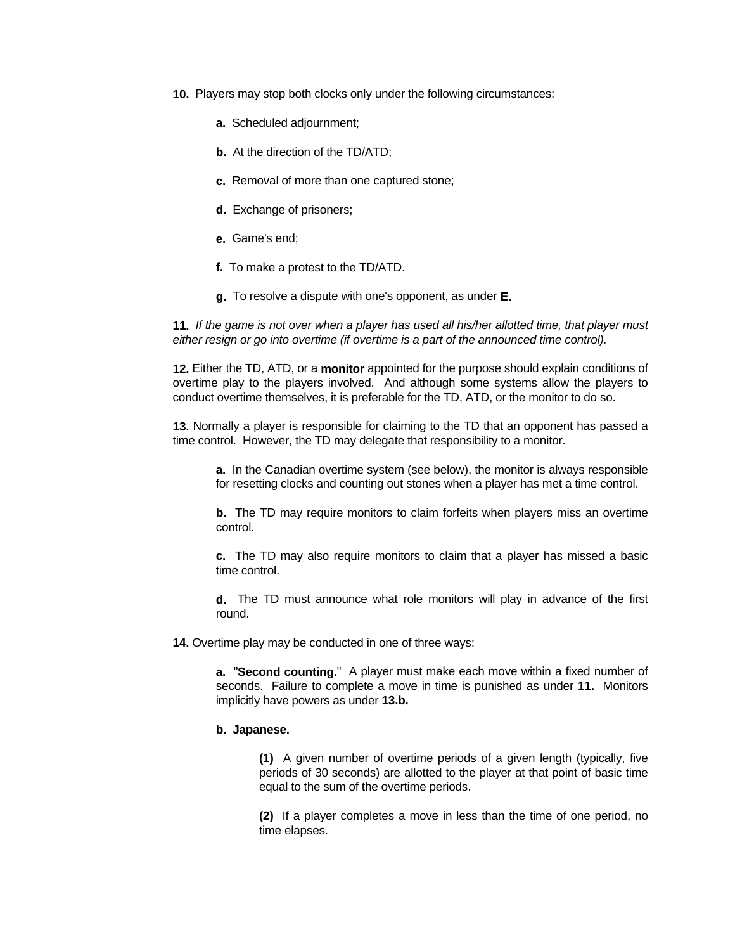- **10.** Players may stop both clocks only under the following circumstances:
	- **a.** Scheduled adjournment;
	- **b.** At the direction of the TD/ATD;
	- **c.** Removal of more than one captured stone;
	- **d.** Exchange of prisoners;
	- **e.** Game's end;
	- **f.** To make a protest to the TD/ATD.
	- **g.** To resolve a dispute with one's opponent, as under **E.**

**11.** *If the game is not over when a player has used all his/her allotted time, that player must either resign or go into overtime (if overtime is a part of the announced time control).*

**12.** Either the TD, ATD, or a **monitor** appointed for the purpose should explain conditions of overtime play to the players involved. And although some systems allow the players to conduct overtime themselves, it is preferable for the TD, ATD, or the monitor to do so.

**13.** Normally a player is responsible for claiming to the TD that an opponent has passed a time control. However, the TD may delegate that responsibility to a monitor.

**a.** In the Canadian overtime system (see below), the monitor is always responsible for resetting clocks and counting out stones when a player has met a time control.

**b.** The TD may require monitors to claim forfeits when players miss an overtime control.

**c.** The TD may also require monitors to claim that a player has missed a basic time control.

**d.** The TD must announce what role monitors will play in advance of the first round.

**14.** Overtime play may be conducted in one of three ways:

**a.** "**Second counting.**" A player must make each move within a fixed number of seconds. Failure to complete a move in time is punished as under **11.** Monitors implicitly have powers as under **13.b.**

#### **b. Japanese.**

**(1)** A given number of overtime periods of a given length (typically, five periods of 30 seconds) are allotted to the player at that point of basic time equal to the sum of the overtime periods.

**(2)** If a player completes a move in less than the time of one period, no time elapses.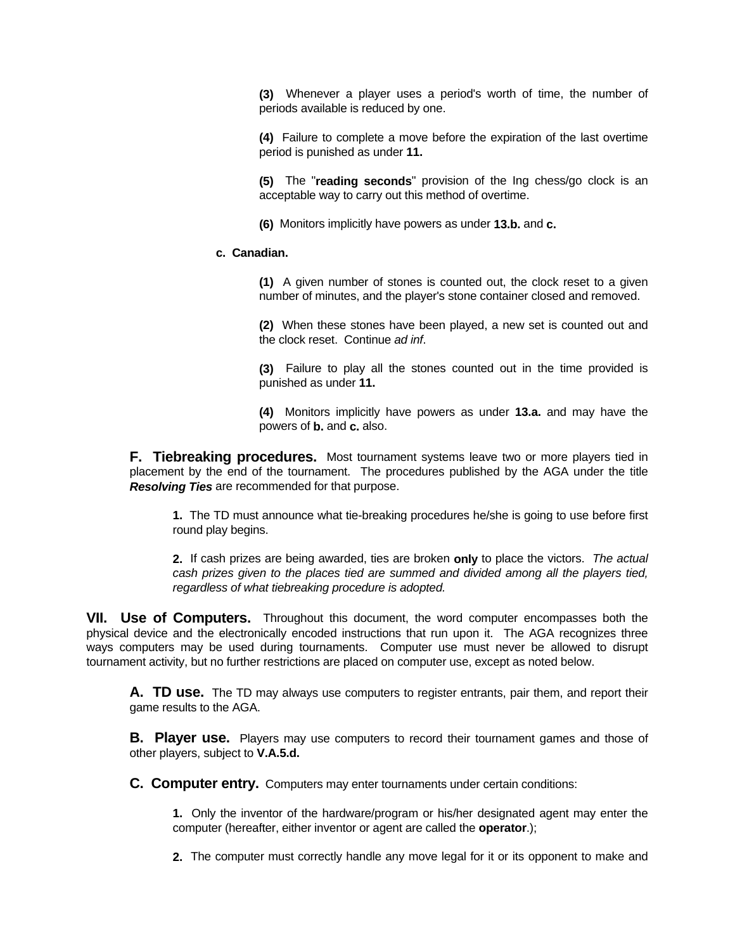**(3)** Whenever a player uses a period's worth of time, the number of periods available is reduced by one.

**(4)** Failure to complete a move before the expiration of the last overtime period is punished as under **11.**

**(5)** The "**reading seconds**" provision of the Ing chess/go clock is an acceptable way to carry out this method of overtime.

**(6)** Monitors implicitly have powers as under **13.b.** and **c.**

#### **c. Canadian.**

**(1)** A given number of stones is counted out, the clock reset to a given number of minutes, and the player's stone container closed and removed.

**(2)** When these stones have been played, a new set is counted out and the clock reset. Continue *ad inf*.

**(3)** Failure to play all the stones counted out in the time provided is punished as under **11.**

**(4)** Monitors implicitly have powers as under **13.a.** and may have the powers of **b.** and **c.** also.

**F.** Tiebreaking procedures. Most tournament systems leave two or more players tied in placement by the end of the tournament. The procedures published by the AGA under the title *Resolving Ties* are recommended for that purpose.

**1.** The TD must announce what tie-breaking procedures he/she is going to use before first round play begins.

**2.** If cash prizes are being awarded, ties are broken **only** to place the victors. *The actual cash prizes given to the places tied are summed and divided among all the players tied, regardless of what tiebreaking procedure is adopted.*

**VII. Use of Computers.** Throughout this document, the word computer encompasses both the physical device and the electronically encoded instructions that run upon it. The AGA recognizes three ways computers may be used during tournaments. Computer use must never be allowed to disrupt tournament activity, but no further restrictions are placed on computer use, except as noted below.

**A. TD use.** The TD may always use computers to register entrants, pair them, and report their game results to the AGA.

**B. Player use.** Players may use computers to record their tournament games and those of other players, subject to **V.A.5.d.**

**C. Computer entry.** Computers may enter tournaments under certain conditions:

**1.** Only the inventor of the hardware/program or his/her designated agent may enter the computer (hereafter, either inventor or agent are called the **operator**.);

**2.** The computer must correctly handle any move legal for it or its opponent to make and